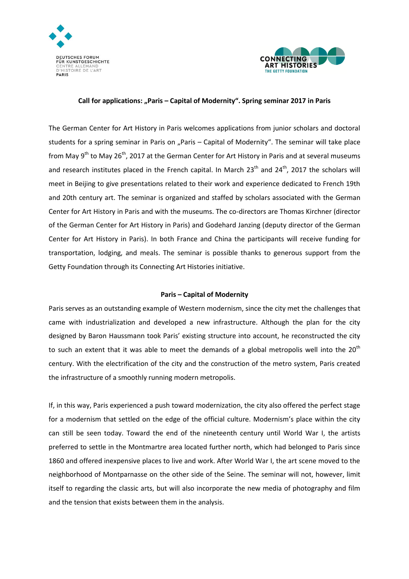



## **Call for applications: "Paris – Capital of Modernity". Spring seminar 2017 in Paris**

The German Center for Art History in Paris welcomes applications from junior scholars and doctoral students for a spring seminar in Paris on "Paris – Capital of Modernity". The seminar will take place from May 9<sup>th</sup> to May 26<sup>th</sup>, 2017 at the German Center for Art History in Paris and at several museums and research institutes placed in the French capital. In March  $23<sup>th</sup>$  and  $24<sup>th</sup>$ , 2017 the scholars will meet in Beijing to give presentations related to their work and experience dedicated to French 19th and 20th century art. The seminar is organized and staffed by scholars associated with the German Center for Art History in Paris and with the museums. The co-directors are Thomas Kirchner (director of the German Center for Art History in Paris) and Godehard Janzing (deputy director of the German Center for Art History in Paris). In both France and China the participants will receive funding for transportation, lodging, and meals. The seminar is possible thanks to generous support from the Getty Foundation through its Connecting Art Histories initiative.

## **Paris – Capital of Modernity**

Paris serves as an outstanding example of Western modernism, since the city met the challenges that came with industrialization and developed a new infrastructure. Although the plan for the city designed by Baron Haussmann took Paris' existing structure into account, he reconstructed the city to such an extent that it was able to meet the demands of a global metropolis well into the  $20<sup>th</sup>$ century. With the electrification of the city and the construction of the metro system, Paris created the infrastructure of a smoothly running modern metropolis.

If, in this way, Paris experienced a push toward modernization, the city also offered the perfect stage for a modernism that settled on the edge of the official culture. Modernism's place within the city can still be seen today. Toward the end of the nineteenth century until World War I, the artists preferred to settle in the Montmartre area located further north, which had belonged to Paris since 1860 and offered inexpensive places to live and work. After World War I, the art scene moved to the neighborhood of Montparnasse on the other side of the Seine. The seminar will not, however, limit itself to regarding the classic arts, but will also incorporate the new media of photography and film and the tension that exists between them in the analysis.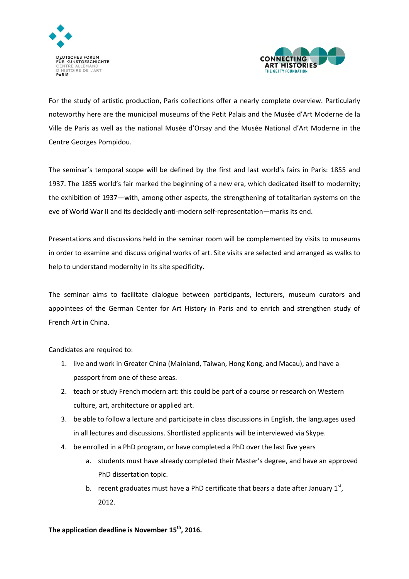



For the study of artistic production, Paris collections offer a nearly complete overview. Particularly noteworthy here are the municipal museums of the Petit Palais and the Musée d'Art Moderne de la Ville de Paris as well as the national Musée d'Orsay and the Musée National d'Art Moderne in the Centre Georges Pompidou.

The seminar's temporal scope will be defined by the first and last world's fairs in Paris: 1855 and 1937. The 1855 world's fair marked the beginning of a new era, which dedicated itself to modernity; the exhibition of 1937—with, among other aspects, the strengthening of totalitarian systems on the eve of World War II and its decidedly anti-modern self-representation—marks its end.

Presentations and discussions held in the seminar room will be complemented by visits to museums in order to examine and discuss original works of art. Site visits are selected and arranged as walks to help to understand modernity in its site specificity.

The seminar aims to facilitate dialogue between participants, lecturers, museum curators and appointees of the German Center for Art History in Paris and to enrich and strengthen study of French Art in China.

Candidates are required to:

- 1. live and work in Greater China (Mainland, Taiwan, Hong Kong, and Macau), and have a passport from one of these areas.
- 2. teach or study French modern art: this could be part of a course or research on Western culture, art, architecture or applied art.
- 3. be able to follow a lecture and participate in class discussions in English, the languages used in all lectures and discussions. Shortlisted applicants will be interviewed via Skype.
- 4. be enrolled in a PhD program, or have completed a PhD over the last five years
	- a. students must have already completed their Master's degree, and have an approved PhD dissertation topic.
	- b. recent graduates must have a PhD certificate that bears a date after January  $1<sup>st</sup>$ , 2012.

**The application deadline is November 15th, 2016.**